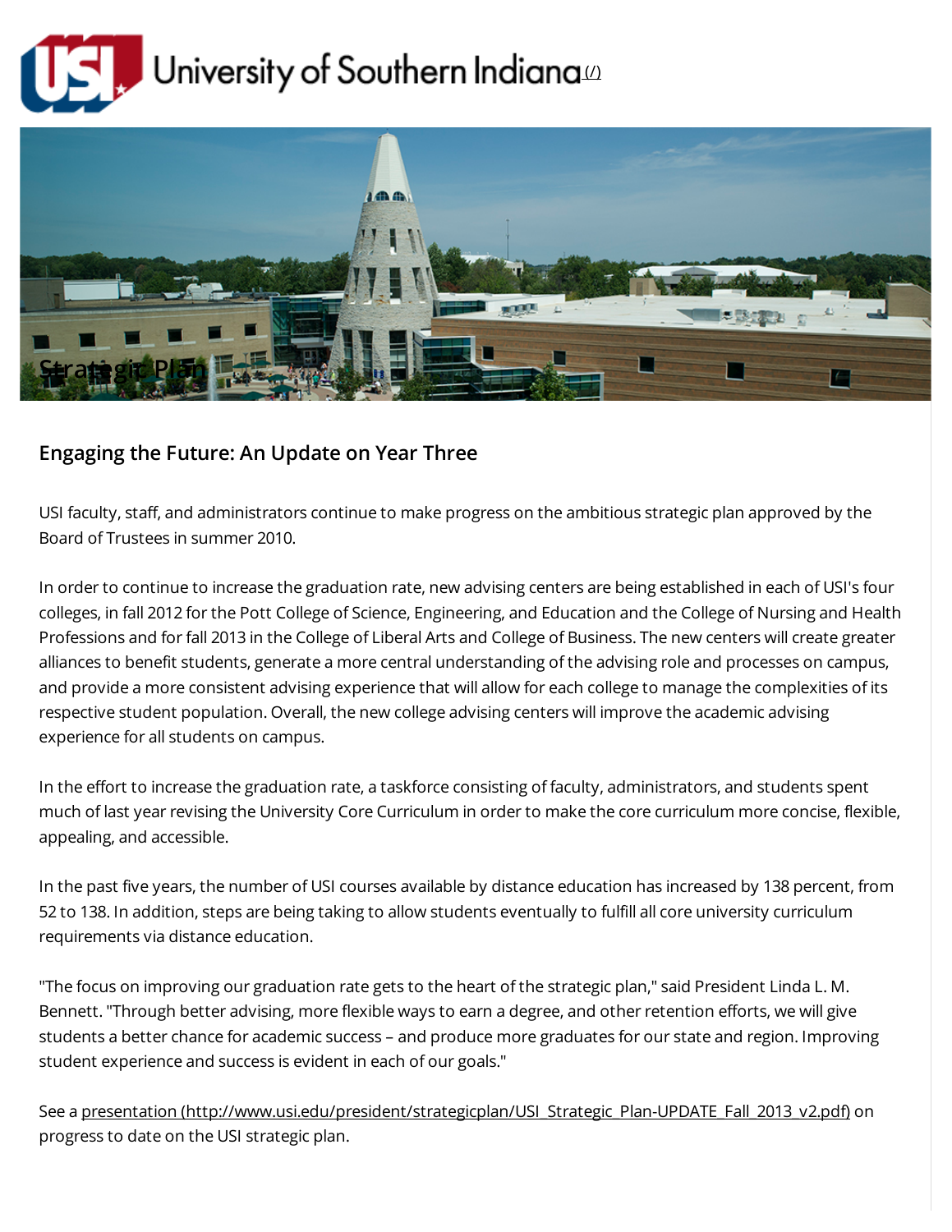



## Engaging the Future: An Update on Year Three

USI faculty, staff, and administrators continue to make progress on the ambitious strategic plan approved by the Board of Trustees in summer 2010.

In order to continue to increase the graduation rate, new advising centers are being established in each of USI's four colleges, in fall 2012 for the Pott College of Science, Engineering, and Education and the College of Nursing and Health Professions and for fall 2013 in the College of Liberal Arts and College of Business. The new centers will create greater alliances to benefit students, generate a more central understanding of the advising role and processes on campus, and provide a more consistent advising experience that will allow for each college to manage the complexities of its respective student population. Overall, the new college advising centers will improve the academic advising experience for all students on campus.

In the effort to increase the graduation rate, a taskforce consisting of faculty, administrators, and students spent much of last year revising the University Core Curriculum in order to make the core curriculum more concise, flexible, appealing, and accessible.

In the past five years, the number of USI courses available by distance education has increased by 138 percent, from 52 to 138. In addition, steps are being taking to allow students eventually to fulfill all core university curriculum requirements via distance education.

"The focus on improving our graduation rate gets to the heart of the strategic plan," said President Linda L. M. Bennett. "Through better advising, more flexible ways to earn a degree, and other retention efforts, we will give students a better chance for academic success – and produce more graduates for our state and region. Improving student experience and success is evident in each of our goals."

See a presentation [\(http://www.usi.edu/president/strategicplan/USI\\_Strategic\\_Plan-UPDATE\\_Fall\\_2013\\_v2.pdf\)](http://www.usi.edu/president/strategicplan/USI_Strategic_Plan-UPDATE_Fall_2013_v2.pdf) on progress to date on the USI strategic plan.